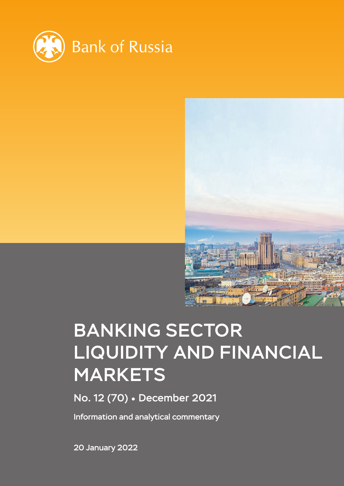



# BANKING SECTOR LIQUIDITY AND FINANCIAL MARKETS

No. 12 (70) December 2021

Information and analytical commentary

20 January 2022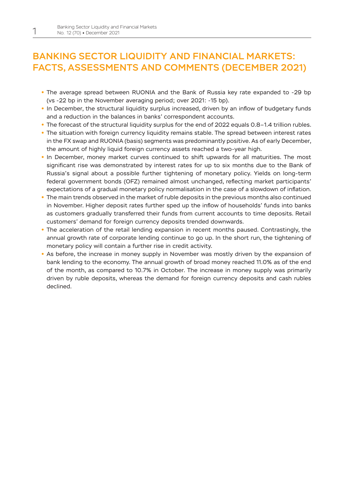# BANKING SECTOR LIQUIDITY AND FINANCIAL MARKETS: FACTS, ASSESSMENTS AND COMMENTS (DECEMBER 2021)

- **•** The average spread between RUONIA and the Bank of Russia key rate expanded to -29 bp (vs -22 bp in the November averaging period; over 2021: -15 bp).
- In December, the structural liquidity surplus increased, driven by an inflow of budgetary funds and a reduction in the balances in banks' correspondent accounts.
- **•** The forecast of the structural liquidity surplus for the end of 2022 equals 0.8–1.4 trillion rubles.
- **•** The situation with foreign currency liquidity remains stable. The spread between interest rates in the FX swap and RUONIA (basis) segments was predominantly positive. As of early December, the amount of highly liquid foreign currency assets reached a two-year high.
- **•** In December, money market curves continued to shift upwards for all maturities. The most significant rise was demonstrated by interest rates for up to six months due to the Bank of Russia's signal about a possible further tightening of monetary policy. Yields on long-term federal government bonds (OFZ) remained almost unchanged, reflecting market participants' expectations of a gradual monetary policy normalisation in the case of a slowdown of inflation.
- **•** The main trends observed in the market of ruble deposits in the previous months also continued in November. Higher deposit rates further sped up the inflow of households' funds into banks as customers gradually transferred their funds from current accounts to time deposits. Retail customers' demand for foreign currency deposits trended downwards.
- **•** The acceleration of the retail lending expansion in recent months paused. Contrastingly, the annual growth rate of corporate lending continue to go up. In the short run, the tightening of monetary policy will contain a further rise in credit activity.
- **•** As before, the increase in money supply in November was mostly driven by the expansion of bank lending to the economy. The annual growth of broad money reached 11.0% as of the end of the month, as compared to 10.7% in October. The increase in money supply was primarily driven by ruble deposits, whereas the demand for foreign currency deposits and cash rubles declined.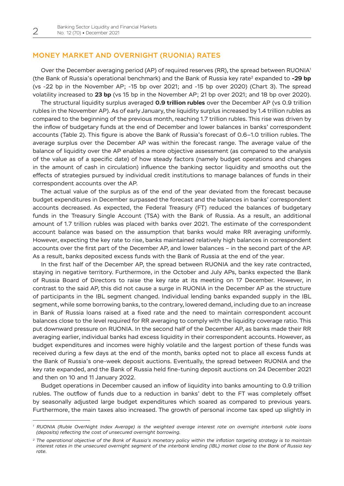## MONEY MARKET AND OVERNIGHT (RUONIA) RATES

Over the December averaging period (AP) of required reserves (RR), the spread between RUONIA1 (the Bank of Russia's operational benchmark) and the Bank of Russia key rate2 expanded to **-29 bp** (vs -22 bp in the November AP; -15 bp over 2021; and -15 bp over 2020) (Chart 3). The spread volatility increased to **23 bp** (vs 15 bp in the November AP; 21 bp over 2021; and 18 bp over 2020).

The structural liquidity surplus averaged **0.9 trillion rubles** over the December AP (vs 0.9 trillion rubles in the November AP). As of early January, the liquidity surplus increased by 1.4 trillion rubles as compared to the beginning of the previous month, reaching 1.7 trillion rubles. This rise was driven by the inflow of budgetary funds at the end of December and lower balances in banks' correspondent accounts (Table 2). This figure is above the Bank of Russia's forecast of 0.6–1.0 trillion rubles. The average surplus over the December AP was within the forecast range. The average value of the balance of liquidity over the AP enables a more objective assessment (as compared to the analysis of the value as of a specific date) of how steady factors (namely budget operations and changes in the amount of cash in circulation) influence the banking sector liquidity and smooths out the effects of strategies pursued by individual credit institutions to manage balances of funds in their correspondent accounts over the AP.

The actual value of the surplus as of the end of the year deviated from the forecast because budget expenditures in December surpassed the forecast and the balances in banks' correspondent accounts decreased. As expected, the Federal Treasury (FT) reduced the balances of budgetary funds in the Treasury Single Account (TSA) with the Bank of Russia. As a result, an additional amount of 1.7 trillion rubles was placed with banks over 2021. The estimate of the correspondent account balance was based on the assumption that banks would make RR averaging uniformly. However, expecting the key rate to rise, banks maintained relatively high balances in correspondent accounts over the first part of the December AP, and lower balances – in the second part of the AP. As a result, banks deposited excess funds with the Bank of Russia at the end of the year.

In the first half of the December AP, the spread between RUONIA and the key rate contracted, staying in negative territory. Furthermore, in the October and July APs, banks expected the Bank of Russia Board of Directors to raise the key rate at its meeting on 17 December. However, in contrast to the said AP, this did not cause a surge in RUONIA in the December AP as the structure of participants in the IBL segment changed. Individual lending banks expanded supply in the IBL segment, while some borrowing banks, to the contrary, lowered demand, including due to an increase in Bank of Russia loans raised at a fixed rate and the need to maintain correspondent account balances close to the level required for RR averaging to comply with the liquidity coverage ratio. This put downward pressure on RUONIA. In the second half of the December AP, as banks made their RR averaging earlier, individual banks had excess liquidity in their correspondent accounts. However, as budget expenditures and incomes were highly volatile and the largest portion of these funds was received during a few days at the end of the month, banks opted not to place all excess funds at the Bank of Russia's one-week deposit auctions. Eventually, the spread between RUONIA and the key rate expanded, and the Bank of Russia held fine-tuning deposit auctions on 24 December 2021 and then on 10 and 11 January 2022.

Budget operations in December caused an inflow of liquidity into banks amounting to 0.9 trillion rubles. The outflow of funds due to a reduction in banks' debt to the FT was completely offset by seasonally adjusted large budget expenditures which soared as compared to previous years. Furthermore, the main taxes also increased. The growth of personal income tax sped up slightly in

*<sup>1</sup> RUONIA (Ruble OverNight Index Average) is the weighted average interest rate on overnight interbank ruble loans (deposits) reflecting the cost of unsecured overnight borrowing.*

*<sup>2</sup> The operational objective of the Bank of Russia's monetary policy within the inflation targeting strategy is to maintain interest rates in the unsecured overnight segment of the interbank lending (IBL) market close to the Bank of Russia key rate.*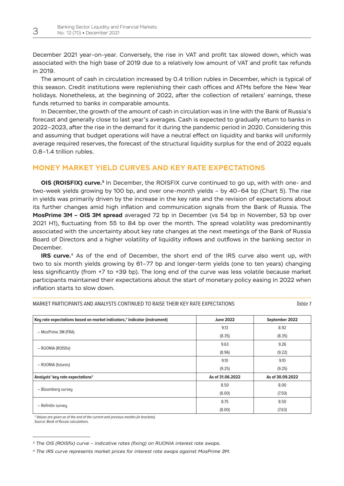December 2021 year-on-year. Conversely, the rise in VAT and profit tax slowed down, which was associated with the high base of 2019 due to a relatively low amount of VAT and profit tax refunds in 2019.

The amount of cash in circulation increased by 0.4 trillion rubles in December, which is typical of this season. Credit institutions were replenishing their cash offices and ATMs before the New Year holidays. Nonetheless, at the beginning of 2022, after the collection of retailers' earnings, these funds returned to banks in comparable amounts.

In December, the growth of the amount of cash in circulation was in line with the Bank of Russia's forecast and generally close to last year's averages. Cash is expected to gradually return to banks in 2022–2023, after the rise in the demand for it during the pandemic period in 2020. Considering this and assuming that budget operations will have a neutral effect on liquidity and banks will uniformly average required reserves, the forecast of the structural liquidity surplus for the end of 2022 equals 0.8–1.4 trillion rubles.

## MONEY MARKET YIELD CURVES AND KEY RATE EXPECTATIONS

**OIS (ROISFIX) curve.3** In December, the ROISFIX curve continued to go up, with with one- and two-week yields growing by 100 bp, and over one-month yields – by 40–64 bp (Chart 5). The rise in yields was primarily driven by the increase in the key rate and the revision of expectations about its further changes amid high inflation and communication signals from the Bank of Russia. The **MosPrime 3M – OIS 3M spread** averaged 72 bp in December (vs 54 bp in November, 53 bp over 2021 H1), fluctuating from 55 to 84 bp over the month. The spread volatility was predominantly associated with the uncertainty about key rate changes at the next meetings of the Bank of Russia Board of Directors and a higher volatility of liquidity inflows and outflows in the banking sector in December.

**IRS curve.**4 As of the end of December, the short end of the IRS curve also went up, with two to six month yields growing by 61–77 bp and longer-term yields (one to ten years) changing less significantly (from +7 to +39 bp). The long end of the curve was less volatile because market participants maintained their expectations about the start of monetary policy easing in 2022 when inflation starts to slow down.

| Key rate expectations based on market indicators,* indicator (instrument) | <b>June 2022</b> | September 2022   |
|---------------------------------------------------------------------------|------------------|------------------|
|                                                                           | 9.13             | 8.92             |
| - MosPrime 3M (FRA)                                                       | (8.35)           | (8.35)           |
|                                                                           | 9.63             | 9.26             |
| - RUONIA (ROISfix)                                                        | (8.96)           | (9.22)           |
|                                                                           | 9.10             | 9.10             |
| - RUONIA (futures)                                                        | (9.25)           | (9.25)           |
| Analysts' key rate expectations*                                          | As of 31.06.2022 | As of 30.09.2022 |
|                                                                           | 8.50             | 8.00             |
| - Bloomberg survey                                                        | (8.00)           | (7.50)           |
|                                                                           | 8.75             | 8.50             |
| - Refinitiv survey                                                        | (8.00)           | (7.63)           |

MARKET PARTICIPANTS AND ANALYSTS CONTINUED TO RAISE THEIR KEY RATE EXPECTATIONS *Table 1*

*\* Values are given as of the end of the current and previous months (in brackets).*

*Source: Bank of Russia calculations.*

*<sup>3</sup> The OIS (ROISfix) curve – indicative rates (fixing) on RUONIA interest rate swaps.*

*<sup>4</sup> The IRS curve represents market prices for interest rate swaps against MosPrime 3M.*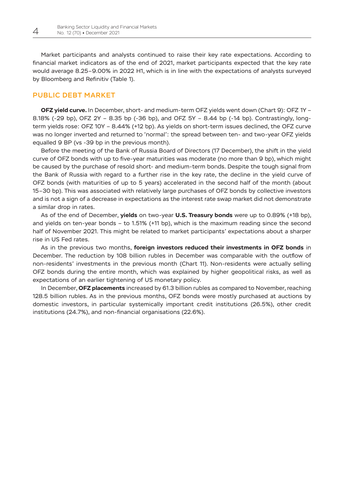Market participants and analysts continued to raise their key rate expectations. According to financial market indicators as of the end of 2021, market participants expected that the key rate would average 8.25–9.00% in 2022 H1, which is in line with the expectations of analysts surveyed by Bloomberg and Refinitiv (Table 1).

## PUBLIC DEBT MARKET

**OFZ yield curve.** In December, short- and medium-term OFZ yields went down (Chart 9): OFZ 1Y – 8.18% (-29 bp), OFZ 2Y – 8.35 bp (-36 bp), and OFZ 5Y – 8.44 bp (-14 bp). Contrastingly, longterm yields rose: OFZ 10Y – 8.44% (+12 bp). As yields on short-term issues declined, the OFZ curve was no longer inverted and returned to 'normal': the spread between ten- and two-year OFZ yields equalled 9 BP (vs -39 bp in the previous month).

Before the meeting of the Bank of Russia Board of Directors (17 December), the shift in the yield curve of OFZ bonds with up to five-year maturities was moderate (no more than 9 bp), which might be caused by the purchase of resold short- and medium-term bonds. Despite the tough signal from the Bank of Russia with regard to a further rise in the key rate, the decline in the yield curve of OFZ bonds (with maturities of up to 5 years) accelerated in the second half of the month (about 15–30 bp). This was associated with relatively large purchases of OFZ bonds by collective investors and is not a sign of a decrease in expectations as the interest rate swap market did not demonstrate a similar drop in rates.

As of the end of December, **yields** on two-year **U.S. Treasury bonds** were up to 0.89% (+18 bp), and yields on ten-year bonds – to 1.51% (+11 bp), which is the maximum reading since the second half of November 2021. This might be related to market participants' expectations about a sharper rise in US Fed rates.

As in the previous two months, **foreign investors reduced their investments in OFZ bonds** in December. The reduction by 108 billion rubles in December was comparable with the outflow of non-residents' investments in the previous month (Chart 11). Non-residents were actually selling OFZ bonds during the entire month, which was explained by higher geopolitical risks, as well as expectations of an earlier tightening of US monetary policy.

In December, **OFZ placements** increased by 61.3 billion rubles as compared to November, reaching 128.5 billion rubles. As in the previous months, OFZ bonds were mostly purchased at auctions by domestic investors, in particular systemically important credit institutions (26.5%), other credit institutions (24.7%), and non-financial organisations (22.6%).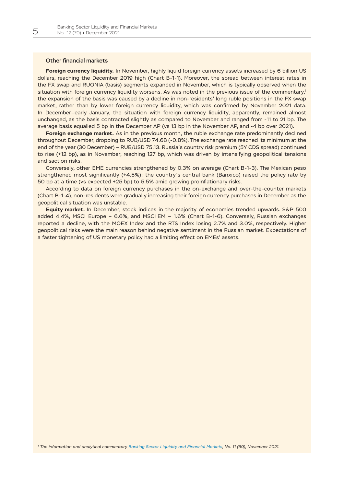#### Other financial markets

**Foreign currency liquidity.** In November, highly liquid foreign currency assets increased by 6 billion US dollars, reaching the December 2019 high (Chart B-1-1). Moreover, the spread between interest rates in the FX swap and RUONIA (basis) segments expanded in November, which is typically observed when the situation with foreign currency liquidity worsens. As was noted in the previous issue of the commentary,<sup>1</sup> the expansion of the basis was caused by a decline in non-residents' long ruble positions in the FX swap market, rather than by lower foreign currency liquidity, which was confirmed by November 2021 data. In December–early January, the situation with foreign currency liquidity, apparently, remained almost unchanged, as the basis contracted slightly as compared to November and ranged from -11 to 21 bp. The average basis equalled 5 bp in the December AP (vs 13 bp in the November AP, and -4 bp over 2021).

**Foreign exchange market.** As in the previous month, the ruble exchange rate predominantly declined throughout December, dropping to RUB/USD 74.68 (-0.8%). The exchange rate reached its minimum at the end of the year (30 December) – RUB/USD 75.13. Russia's country risk premium (5Y CDS spread) continued to rise (+12 bp), as in November, reaching 127 bp, which was driven by intensifying geopolitical tensions and saction risks.

Conversely, other EME currencies strengthened by 0.3% on average (Chart В-1-3). The Mexican peso strengthened most significantly (+4.5%): the country's central bank (Banxico) raised the policy rate by 50 bp at a time (vs expected +25 bp) to 5.5% amid growing proinflationary risks.

According to data on foreign currency purchases in the on-exchange and over-the-counter markets (Chart В-1-4), non-residents were gradually increasing their foreign currency purchases in December as the geopolitical situation was unstable.

**Equity market.** In December, stock indices in the majority of economies trended upwards. S&P 500 added 4.4%, MSCI Europe – 6.6%, and MSCI EM – 1.6% (Chart В-1-6). Conversely, Russian exchanges reported a decline, with the MOEX Index and the RTS Index losing 2.7% and 3.0%, respectively. Higher geopolitical risks were the main reason behind negative sentiment in the Russian market. Expectations of a faster tightening of US monetary policy had a limiting effect on EMEs' assets.

*<sup>1</sup> The information and analytical commentary [Banking Sector Liquidity and Financial Markets,](https://cbr.ru/Collection/Collection/File/39639/LB_2021-69_e.pdf) No. 11 (69), November 2021.*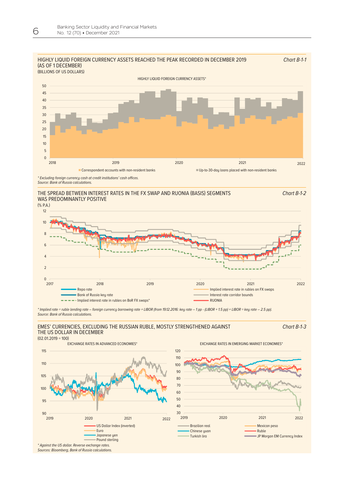

#### WAS PREDOMINANTLY POSITIVE THE SPREAD BETWEEN INTEREST RATES IN THE FX SWAP AND RUONIA (BASIS) SEGMENTS



\* Implied rate = ruble lending rate – foreign currency borrowing rate + LIBOR (from 19.12.2016: key rate – 1 pp - (LIBOR + 1.5 pp) + LIBOR = key rate – 2.5 pp). *Source: Bank of Russia calculations.* 

#### EMES' CURRENCIES, EXCLUDING THE RUSSIAN RUBLE, MOSTLY STRENGTHENED AGAINST THE US DOLLAR IN DECEMBER

Chart В-1-3

Chart В-1-2



EXCHANGE RATES IN ADVANCED ECONOMIES\* EXCHANGE RATES IN EMERGING MARKET ECONOMIES\*





*Sources: Bloomberg, Bank of Russia calculations.*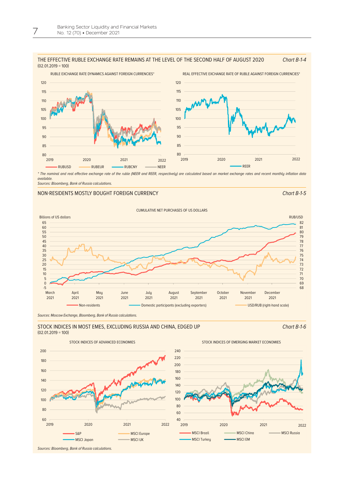#### THE EFFECTIVE RUBLE EXCHANGE RATE REMAINS AT THE LEVEL OF THE SECOND HALF OF AUGUST 2020  $(02.01.2019 = 100)$ Chart В-1-4



\* The nominal and real effective exchange rate of the ruble (NEER and REER, respectively) are calculated based on market exchange rates and recent monthly inflation data *available.*

*Sources: Bloomberg, Bank of Russia calculations.*

#### NON-RESIDENTS MOSTLY BOUGHT FOREIGN CURRENCY Chart Bought Chart B-1-5



*Sources: Moscow Exchange, Bloomberg, Bank of Russia calculations.*

#### STOCK INDICES IN MOST EMES, EXCLUDING RUSSIA AND CHINA, EDGED UP  $(02.01.2019 = 100)$



STOCK INDICES OF ADVANCED ECONOMIES STOCK INDICES OF EMERGING MARKET ECONOMIES

Chart В-1-6



*Sources: Bloomberg, Bank of Russia calculations.*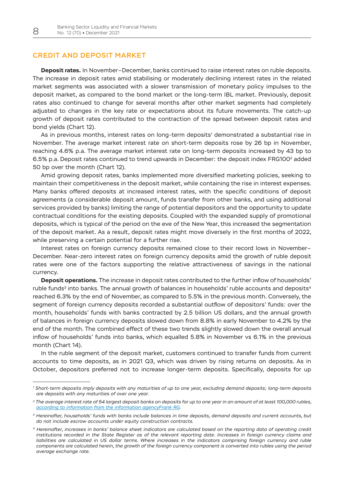## CREDIT AND DEPOSIT MARKET

**Deposit rates.** In November–December, banks continued to raise interest rates on ruble deposits. The increase in deposit rates amid stabilising or moderately declining interest rates in the related market segments was associated with a slower transmission of monetary policy impulses to the deposit market, as compared to the bond market or the long-term IBL market. Previously, deposit rates also continued to change for several months after other market segments had completely adjusted to changes in the key rate or expectations about its future movements. The catch-up growth of deposit rates contributed to the contraction of the spread between deposit rates and bond yields (Chart 12).

As in previous months, interest rates on long-term deposits<sup>1</sup> demonstrated a substantial rise in November. The average market interest rate on short-term deposits rose by 26 bp in November, reaching 4.6% p.a. The average market interest rate on long-term deposits increased by 43 bp to 6.5% p.a. Deposit rates continued to trend upwards in December: the deposit index FRG100<sup>2</sup> added 50 bp over the month (Chart 12).

Amid growing deposit rates, banks implemented more diversified marketing policies, seeking to maintain their competitiveness in the deposit market, while containing the rise in interest expenses. Many banks offered deposits at increased interest rates, with the specific conditions of deposit agreements (a considerable deposit amount, funds transfer from other banks, and using additional services provided by banks) limiting the range of potential depositors and the opportunity to update contractual conditions for the existing deposits. Coupled with the expanded supply of promotional deposits, which is typical of the period on the eve of the New Year, this increased the segmentation of the deposit market. As a result, deposit rates might move diversely in the first months of 2022, while preserving a certain potential for a further rise.

Interest rates on foreign currency deposits remained close to their record lows in November– December. Near-zero interest rates on foreign currency deposits amid the growth of ruble deposit rates were one of the factors supporting the relative attractiveness of savings in the national currency.

**Deposit operations.** The increase in deposit rates contributed to the further inflow of households' ruble funds $3$  into banks. The annual growth of balances in households' ruble accounts and deposits<sup>4</sup> reached 6.3% by the end of November, as compared to 5.5% in the previous month. Conversely, the segment of foreign currency deposits recorded a substantial outflow of depositors' funds: over the month, households' funds with banks contracted by 2.5 billion US dollars, and the annual growth of balances in foreign currency deposits slowed down from 8.8% in early November to 4.2% by the end of the month. The combined effect of these two trends slightly slowed down the overall annual inflow of households' funds into banks, which equalled 5.8% in November vs 6.1% in the previous month (Chart 14).

In the ruble segment of the deposit market, customers continued to transfer funds from current accounts to time deposits, as in 2021 Q3, which was driven by rising returns on deposits. As in October, depositors preferred not to increase longer-term deposits. Specifically, deposits for up

*<sup>1</sup> Short-term deposits imply deposits with any maturities of up to one year, excluding demand deposits; long-term deposits are deposits with any maturities of over one year.*

*<sup>2</sup> The average interest rate of 54 largest deposit banks on deposits for up to one year in an amount of at least 100,000 rubles, [according to information from the information agencyFrank RG.](https://frankrg.com/wp-content/uploads/2020/04/88a0b9cc77e3.pdf)*

*<sup>3</sup> Hereinafter, households' funds with banks include balances in time deposits, demand deposits and current accounts, but do not include escrow accounts under equity construction contracts.*

*<sup>4</sup> Hereinafter, increases in banks' balance sheet indicators are calculated based on the reporting data of operating credit institutions recorded in the State Register as of the relevant reporting date. Increases in foreign currency claims and*  liabilities are calculated in US dollar terms. Where increases in the indicators comprising foreign currency and ruble *components are calculated herein, the growth of the foreign currency component is converted into rubles using the period average exchange rate.*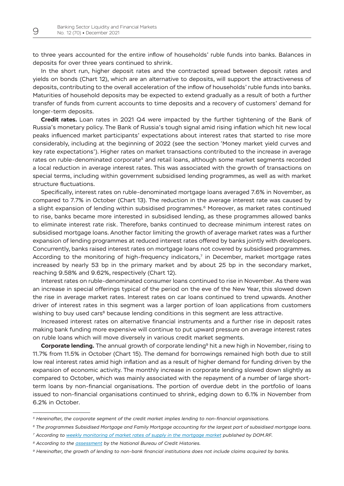to three years accounted for the entire inflow of households' ruble funds into banks. Balances in deposits for over three years continued to shrink.

In the short run, higher deposit rates and the contracted spread between deposit rates and yields on bonds (Chart 12), which are an alternative to deposits, will support the attractiveness of deposits, contributing to the overall acceleration of the inflow of households' ruble funds into banks. Maturities of household deposits may be expected to extend gradually as a result of both a further transfer of funds from current accounts to time deposits and a recovery of customers' demand for longer-term deposits.

**Credit rates.** Loan rates in 2021 Q4 were impacted by the further tightening of the Bank of Russia's monetary policy. The Bank of Russia's tough signal amid rising inflation which hit new local peaks influenced market participants' expectations about interest rates that started to rise more considerably, including at the beginning of 2022 (see the section 'Money market yield curves and key rate expectations'). Higher rates on market transactions contributed to the increase in average rates on ruble-denominated corporate<sup>5</sup> and retail loans, although some market segments recorded a local reduction in average interest rates. This was associated with the growth of transactions on special terms, including within government subsidised lending programmes, as well as with market structure fluctuations.

Specifically, interest rates on ruble-denominated mortgage loans averaged 7.6% in November, as compared to 7.7% in October (Chart 13). The reduction in the average interest rate was caused by a slight expansion of lending within subsidised programmes.<sup>6</sup> Moreover, as market rates continued to rise, banks became more interested in subsidised lending, as these programmes allowed banks to eliminate interest rate risk. Therefore, banks continued to decrease minimum interest rates on subsidised mortgage loans. Another factor limiting the growth of average market rates was a further expansion of lending programmes at reduced interest rates offered by banks jointly with developers. Concurrently, banks raised interest rates on mortgage loans not covered by subsidised programmes. According to the monitoring of high-frequency indicators,<sup>7</sup> in December, market mortgage rates increased by nearly 53 bp in the primary market and by about 25 bp in the secondary market, reaching 9.58% and 9.62%, respectively (Chart 12).

Interest rates on ruble-denominated consumer loans continued to rise in November. As there was an increase in special offerings typical of the period on the eve of the New Year, this slowed down the rise in average market rates. Interest rates on car loans continued to trend upwards. Another driver of interest rates in this segment was a larger portion of loan applications from customers wishing to buy used cars<sup>8</sup> because lending conditions in this segment are less attractive.

Increased interest rates on alternative financial instruments and a further rise in deposit rates making bank funding more expensive will continue to put upward pressure on average interest rates on ruble loans which will move diversely in various credit market segments.

**Corporate lending.** The annual growth of corporate lending<sup>9</sup> hit a new high in November, rising to 11.7% from 11.5% in October (Chart 15). The demand for borrowings remained high both due to still low real interest rates amid high inflation and as a result of higher demand for funding driven by the expansion of economic activity. The monthly increase in corporate lending slowed down slightly as compared to October, which was mainly associated with the repayment of a number of large shortterm loans by non-financial organisations. The portion of overdue debt in the portfolio of loans issued to non-financial organisations continued to shrink, edging down to 6.1% in November from 6.2% in October.

*<sup>5</sup> Hereinafter, the corporate segment of the credit market implies lending to non-financial organisations.*

*<sup>6</sup> The programmes Subsidised Mortgage and Family Mortgage accounting for the largest part of subsidised mortgage loans.*

*<sup>7</sup> According to [weekly monitoring of market rates of supply in the mortgage market](https://дом.рф/analytics/archive/) published by DOM.RF.* 

*<sup>8</sup> According to the [assessment](https://www.nbki.ru/company/news/?id=691447) by the National Bureau of Credit Histories.*

*<sup>9</sup> Hereinafter, the growth of lending to non-bank financial institutions does not include claims acquired by banks.*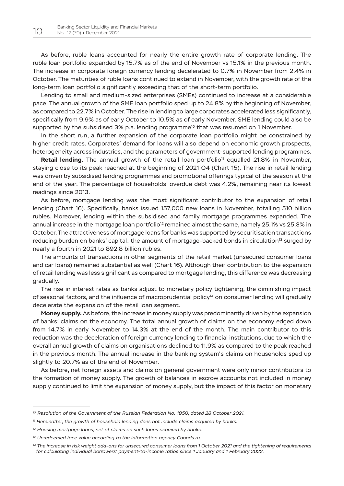As before, ruble loans accounted for nearly the entire growth rate of corporate lending. The ruble loan portfolio expanded by 15.7% as of the end of November vs 15.1% in the previous month. The increase in corporate foreign currency lending decelerated to 0.7% in November from 2.4% in October. The maturities of ruble loans continued to extend in November, with the growth rate of the long-term loan portfolio significantly exceeding that of the short-term portfolio.

Lending to small and medium-sized enterprises (SMEs) continued to increase at a considerable pace. The annual growth of the SME loan portfolio sped up to 24.8% by the beginning of November, as compared to 22.7% in October. The rise in lending to large corporates accelerated less significantly, specifically from 9.9% as of early October to 10.5% as of early November. SME lending could also be supported by the subsidised  $3\%$  p.a. lending programme<sup>10</sup> that was resumed on 1 November.

In the short run, a further expansion of the corporate loan portfolio might be constrained by higher credit rates. Corporates' demand for loans will also depend on economic growth prospects, heterogeneity across industries, and the parameters of government-supported lending programmes.

**Retail lending.** The annual growth of the retail loan portfolio<sup>11</sup> equalled 21.8% in November, staying close to its peak reached at the beginning of 2021 Q4 (Chart 15). The rise in retail lending was driven by subsidised lending programmes and promotional offerings typical of the season at the end of the year. The percentage of households' overdue debt was 4.2%, remaining near its lowest readings since 2013.

As before, mortgage lending was the most significant contributor to the expansion of retail lending (Chart 16). Specifically, banks issued 157,000 new loans in November, totalling 510 billion rubles. Moreover, lending within the subsidised and family mortgage programmes expanded. The annual increase in the mortgage loan portfolio<sup>12</sup> remained almost the same, namely 25.1% vs 25.3% in October. The attractiveness of mortgage loans for banks was supported by securitisation transactions reducing burden on banks' capital: the amount of mortgage-backed bonds in circulation<sup>13</sup> surged by nearly a fourth in 2021 to 892.8 billion rubles.

The amounts of transactions in other segments of the retail market (unsecured consumer loans and car loans) remained substantial as well (Chart 16). Although their contribution to the expansion of retail lending was less significant as compared to mortgage lending, this difference was decreasing gradually.

The rise in interest rates as banks adjust to monetary policy tightening, the diminishing impact of seasonal factors, and the influence of macroprudential policy<sup>14</sup> on consumer lending will gradually decelerate the expansion of the retail loan segment.

**Money supply.** As before, the increase in money supply was predominantly driven by the expansion of banks' claims on the economy. The total annual growth of claims on the economy edged down from 14.7% in early November to 14.3% at the end of the month. The main contributor to this reduction was the deceleration of foreign currency lending to financial institutions, due to which the overall annual growth of claims on organisations declined to 11.9% as compared to the peak reached in the previous month. The annual increase in the banking system's claims on households sped up slightly to 20.7% as of the end of November.

As before, net foreign assets and claims on general government were only minor contributors to the formation of money supply. The growth of balances in escrow accounts not included in money supply continued to limit the expansion of money supply, but the impact of this factor on monetary

*<sup>10</sup> Resolution of the Government of the Russian Federation No. 1850, dated 28 October 2021.*

*<sup>11</sup> Hereinafter, the growth of household lending does not include claims acquired by banks.*

*<sup>12</sup> Housing mortgage loans, net of claims on such loans acquired by banks.*

*<sup>13</sup> Unredeemed face value according to the information agency Cbonds.ru.*

*<sup>14</sup> The increase in risk weight add-ons for unsecured consumer loans from 1 October 2021 and the tightening of requirements for calculating individual borrowers' payment-to-income ratios since 1 January and 1 February 2022.*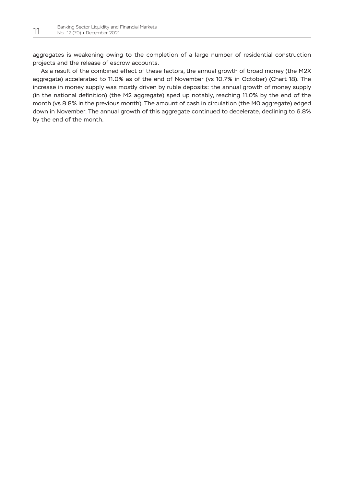aggregates is weakening owing to the completion of a large number of residential construction projects and the release of escrow accounts.

As a result of the combined effect of these factors, the annual growth of broad money (the M2X aggregate) accelerated to 11.0% as of the end of November (vs 10.7% in October) (Chart 18). The increase in money supply was mostly driven by ruble deposits: the annual growth of money supply (in the national definition) (the M2 aggregate) sped up notably, reaching 11.0% by the end of the month (vs 8.8% in the previous month). The amount of cash in circulation (the M0 aggregate) edged down in November. The annual growth of this aggregate continued to decelerate, declining to 6.8% by the end of the month.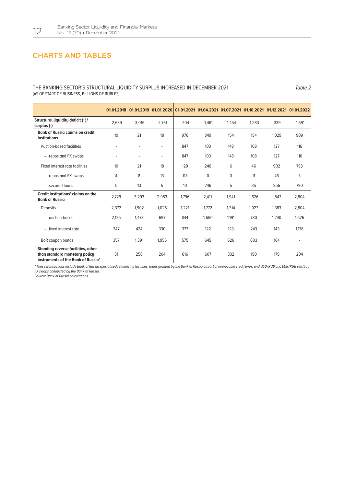## CHARTS AND TABLES

#### THE BANKING SECTOR'S STRUCTURAL LIQUIDITY SURPLUS INCREASED IN DECEMBER 2021 (AS OF START OF BUSINESS, BILLIONS OF RUBLES)

Table 2

|                                                                                                           | 01.01.2018               | 01.01.2019 | 01.01.2020 |        | 01.01.2021 01.04.2021 01.07.2021 01.10.2021 01.12.2021 |             |          |        | 01.01.2022 |
|-----------------------------------------------------------------------------------------------------------|--------------------------|------------|------------|--------|--------------------------------------------------------|-------------|----------|--------|------------|
| Structural liquidity deficit (+)/<br>surplus (-)                                                          | $-2.639$                 | $-3,016$   | $-2.761$   | $-204$ | $-1.461$                                               | $-1.454$    | $-1.283$ | $-339$ | $-1,691$   |
| <b>Bank of Russia claims on credit</b><br>institutions                                                    | 10                       | 21         | 18         | 976    | 349                                                    | 154         | 154      | 1.029  | 909        |
| Auction-based facilities                                                                                  | $\overline{\phantom{a}}$ | ٠          | ٠          | 847    | 103                                                    | 148         | 108      | 127    | 116        |
| - repos and FX swaps                                                                                      | ٠                        | ٠          | ٠          | 847    | 103                                                    | 148         | 108      | 127    | 116        |
| Fixed interest rate facilities                                                                            | 10                       | 21         | 18         | 129    | 246                                                    | 6           | 46       | 902    | 793        |
| - repos and FX swaps                                                                                      | 4                        | 8          | 13         | 118    | $\mathbf 0$                                            | $\mathbf 0$ | 11       | 46     | 3          |
| - secured loans                                                                                           | 5                        | 13         | 5          | 10     | 246                                                    | 5           | 35       | 856    | 790        |
| Credit institutions' claims on the<br><b>Bank of Russia</b>                                               | 2.729                    | 3,293      | 2,983      | 1.796  | 2,417                                                  | 1,941       | 1,626    | 1,547  | 2,804      |
| <b>Deposits</b>                                                                                           | 2,372                    | 1.902      | 1.026      | 1.221  | 1.772                                                  | 1.314       | 1,023    | 1.383  | 2,804      |
| - auction-based                                                                                           | 2.125                    | 1.478      | 697        | 844    | 1.650                                                  | 1.191       | 780      | 1.240  | 1.626      |
| fixed interest rate<br>$\overline{\phantom{a}}$                                                           | 247                      | 424        | 330        | 377    | 122                                                    | 123         | 243      | 143    | 1.178      |
| BoR coupon bonds                                                                                          | 357                      | 1,391      | 1,956      | 575    | 645                                                    | 626         | 603      | 164    | ٠          |
| Standing reverse facilities, other<br>than standard monetary policy<br>instruments of the Bank of Russia* | 81                       | 256        | 204        | 616    | 607                                                    | 332         | 190      | 179    | 204        |

\* These transactions include Bank of Russia specialised refinancing facilities, loans granted by the Bank of Russia as part of irrevocable credit lines, and USD / RUB and EUR / RUB sell / buy *FX swaps conducted by the Bank of Russia.*

*Source: Bank of Russia calculations.*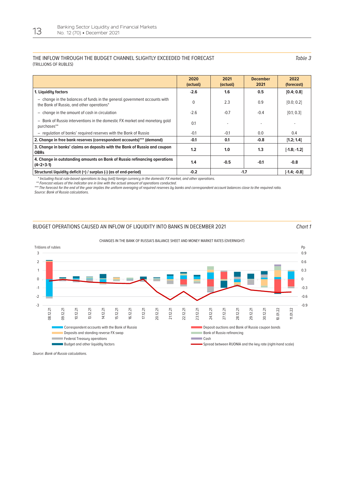#### THE INFLOW THROUGH THE BUDGET CHANNEL SLIGHTLY EXCEEDED THE FORECAST (TRILLIONS OF RUBLES)

Table 3

|                                                                                                                        | 2020<br>(actual) | 2021<br>(actual) | <b>December</b><br>2021 | 2022<br>(forecast) |
|------------------------------------------------------------------------------------------------------------------------|------------------|------------------|-------------------------|--------------------|
| 1. Liquidity factors                                                                                                   | $-2.6$           | 1.6              | 0.5                     | [0.4; 0.8]         |
| - change in the balances of funds in the general government accounts with<br>the Bank of Russia, and other operations* | $\Omega$         | 2.3              | 0.9                     | [0.0; 0.2]         |
| - change in the amount of cash in circulation                                                                          | $-2.6$           | $-0.7$           | $-0.4$                  | [0.1; 0.3]         |
| - Bank of Russia interventions in the domestic FX market and monetary gold<br>purchases**                              | 0.1              |                  |                         |                    |
| - regulation of banks' reguired reserves with the Bank of Russia                                                       | $-0.1$           | $-0.1$           | 0.0                     | 0.4                |
| 2. Change in free bank reserves (correspondent accounts)*** (demand)                                                   | $-0.1$           | 0.1              | $-0.8$                  | [1.2; 1.4]         |
| 3. Change in banks' claims on deposits with the Bank of Russia and coupon<br><b>OBRs</b>                               | 1.2              | 1.0              | 1.3                     | $[ -1.8; -1.2]$    |
| 4. Change in outstanding amounts on Bank of Russia refinancing operations<br>$(4=2+3-1)$                               | 1.4              | $-0.5$           | $-0.1$                  | $-0.8$             |
| Structural liquidity deficit (+) / surplus (-) (as of end-period)                                                      | $-0.2$           | $-1.7$           | $[ -1.4; -0.8]$         |                    |

\* Including fiscal rule-based operations to buy (sell) foreign currency in the domestic FX market, and other operations.

*\*\* Forecast values of the indicator are in line with the actual amount of operations conducted.*

*\*\*\* The forecast for the end of the year implies the uniform averaging of required reserves by banks and correspondent account balances close to the required ratio. Source: Bank of Russia calculations.*

#### BUDGET OPERATIONS CAUSED AN INFLOW OF LIQUIDITY INTO BANKS IN DECEMBER 2021 Chart 1



#### CHANGES IN THE BANK OF RUSSIA'S BALANCE SHEET AND MONEY MARKET RATES (OVERNIGHT)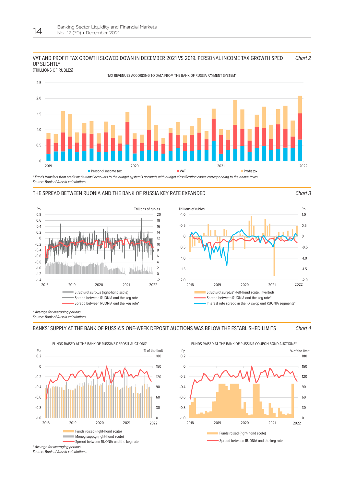

**63х170** (TRILLIONS OF RUBLES)

TAX REVENUES ACCORDING TO DATA FROM THE BANK OF RUSSIA PAYMENT SYSTEM\*



\* Funds transfers from credit institutions' accounts to the budget system's accounts with budget classification codes corresponding to the above taxes. *Source: Bank of Russia calculations.*

#### THE SPREAD BETWEEN RUONIA AND THE BANK OF RUSSIA KEY RATE EXPANDED Chart 3





*\* Average for averaging periods. Source: Bank of Russia calculations.*





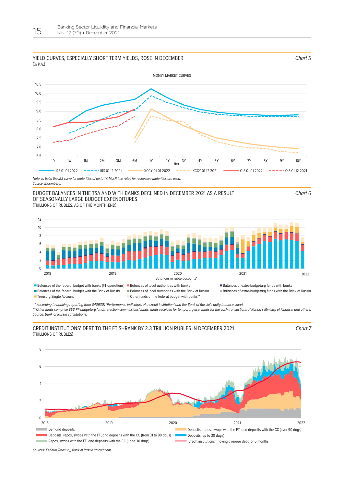#### YIELD CURVES, ESPECIALLY SHORT-TERM YIELDS, ROSE IN DECEMBER  $(%PA)$



*Source: Bloomberg.*

## **63х170** (TRILLIONS OF RUBLES, AS OF THE MONTH-END) BUDGET BALANCES IN THE TSA AND WITH BANKS DECLINED IN DECEMBER 2021 AS A RESULT OF SEASONALLY LARGE BUDGET EXPENDITURES

Chart 6

Chart 5



■ Treasury Single Account **Other funds of the federal budget with banks\*\*** 

 \* According to banking reporting form 0409301 'Performance indicators of a credit institution' and the Bank of Russia's daily balance sheet. *\*\* Other funds comprise VEB.RF budgetary funds, election commissions' funds, funds received for temporary use, funds for the cash transactions of Russia's Ministry of Finance, and others. Source: Bank of Russia calculations.*

#### **63х170** CREDIT INSTITUTIONS' DEBT TO THE FT SHRANK BY 2.3 TRILLION RUBLES IN DECEMBER 2021 (TRILLIONS OF RUBLES)

Chart 7



*Sources: Federal Treasury, Bank of Russia calculations.*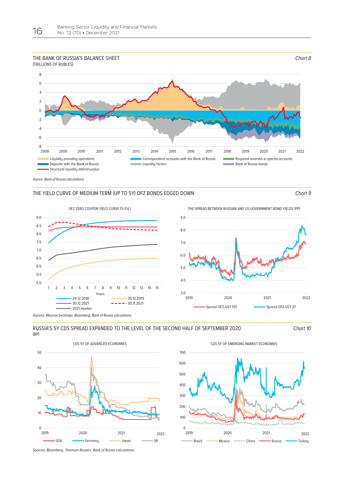## THE BANK OF RUSSIA'S BALANCE SHEET



*Source: Bank of Russia calculations.* 

#### THE YIELD CURVE OF MEDIUM-TERM (UP TO 5Y) OFZ BONDS EDGED DOWN Chart 9

Chart 8



OFZ ZERO COUPON YIELD CURVE (% P.A.) THE SPREAD BETWEEN RUSSIAN AND US GOVERNMENT BOND YIELDS (PP)



*Sources: Moscow Exchange, Bloomberg, Bank of Russia calculations.*



Chart 10





*Sources: Bloomberg, Thomson Reuters, Bank of Russia calculations.*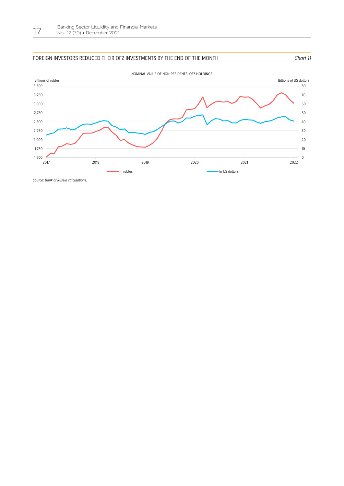#### FOREIGN INVESTORS REDUCED THEIR OFZ INVESTMENTS BY THE END OF THE MONTH CHART ASSESSMENT OF THE MONTH



*Source: Bank of Russia calculations.*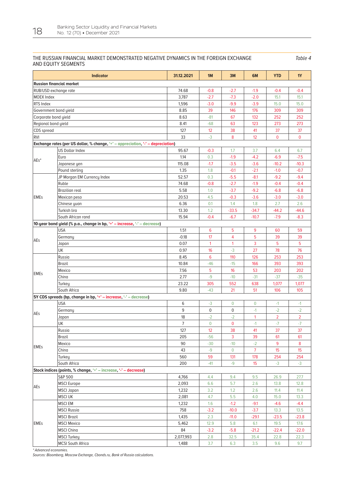#### THE RUSSIAN FINANCIAL MARKET DEMONSTRATED NEGATIVE DYNAMICS IN THE FOREIGN EXCHANGE AND EQUITY SEGMENTS

Table 4

|                                 | <b>Indicator</b>                                                                 | 31.12.2021 | 1M              | 3M             | 6M             | <b>YTD</b>     | <b>1Y</b>      |
|---------------------------------|----------------------------------------------------------------------------------|------------|-----------------|----------------|----------------|----------------|----------------|
| <b>Russian financial market</b> |                                                                                  |            |                 |                |                |                |                |
| RUB/USD exchange rate           |                                                                                  | 74.68      | $-0.8$          | $-2.7$         | $-1.9$         | $-0.4$         | $-0.4$         |
| <b>MOEX Index</b>               |                                                                                  | 3,787      | $-2.7$          | $-7.3$         | $-2.0$         | 15.1           | 15.1           |
| RTS Index                       |                                                                                  | 1,596      | $-3.0$          | $-9.9$         | $-3.9$         | 15.0           | 15.0           |
| Government bond yield           |                                                                                  | 8.85       | 39              | 146            | 176            | 309            | 309            |
| Corporate bond yield            |                                                                                  | 8.63       | $-81$           | 67             | 132            | 252            | 252            |
| Regional bond yield             |                                                                                  | 8.41       | $-68$           | 63             | 123            | 273            | 273            |
| CDS spread                      |                                                                                  | 127        | 12              | 38             | 41             | 37             | 37             |
| <b>RVI</b>                      |                                                                                  | 33         | $-3$            | 8              | 12             | $\overline{0}$ | $\mathbf{0}$   |
|                                 | Exchange rates (per US dollar, % change, '+' - appreciation, '-' - depreciation) |            |                 |                |                |                |                |
|                                 | <b>US Dollar Index</b>                                                           | 95.67      | $-0.3$          | 1.7            | 3.7            | 6.4            | 6.7            |
|                                 | Euro                                                                             | 1.14       | 0.3             | $-1.9$         | $-4.2$         | $-6.9$         | $-7.5$         |
| $AEs^*$                         | Japanese yen                                                                     | 115.08     | $-1.7$          | $-3.5$         | $-3.6$         | $-10.2$        | $-10.3$        |
|                                 | Pound sterling                                                                   | 1.35       | 1.8             | $-0.1$         | $-2.1$         | $-1.0$         | $-0.7$         |
|                                 | JP Morgan EM Currency Index                                                      | 52.57      | 0.3             | $-5.5$         | $-8.1$         | $-9.2$         | $-9.4$         |
|                                 | Ruble                                                                            | 74.68      | $-0.8$          | $-2.7$         | $-1.9$         | $-0.4$         | $-0.4$         |
|                                 | <b>Brazilian real</b>                                                            | 5.58       | 1.0             | $-3.7$         | $-9.2$         | $-6.8$         | $-6.8$         |
| <b>EMEs</b>                     | Mexican peso                                                                     | 20.53      | 4.5             | $-0.3$         | $-3.6$         | $-3.0$         | $-3.0$         |
|                                 | Chinese yuan                                                                     | 6.36       | 0.1             | 1.4            | 1.8            | 2.7            | 2.6            |
|                                 | Turkish lira                                                                     | 13.30      | 1.2             | $-33.5$        | $-34.7$        | $-44.2$        | $-44.6$        |
|                                 | South African rand                                                               | 15.94      | $-0.4$          | $-6.7$         | $-10.7$        | $-7.9$         | $-8.3$         |
|                                 | 10-year bond yield (% p.a., change in bp, '+' - increase, '-' - decrease)        |            |                 |                |                |                |                |
|                                 | <b>USA</b>                                                                       | 1.51       | $6\phantom{1}6$ | 5              | 9              | 60             | 59             |
|                                 | Germany                                                                          | $-0.18$    | 17              | $\overline{4}$ | 5              | 39             | 39             |
| AEs                             | Japan                                                                            | 0.07       | $\mathbf{1}$    | $\overline{1}$ | 3              | 5              | 5              |
|                                 | UK                                                                               | 0.97       | 16              | $-3$           | 27             | 78             | 76             |
|                                 | Russia                                                                           | 8.45       | $6\phantom{1}6$ | 110            | 126            | 253            | 253            |
|                                 | <b>Brazil</b>                                                                    | 10.84      | $-46$           | $-15$          | 166            | 393            | 393            |
|                                 | Mexico                                                                           | 7.56       | 5               | 16             | 53             | 203            | 202            |
| <b>EMES</b>                     | China                                                                            | 2.77       | $-9$            | $-10$          | $-31$          | $-37$          | $-35$          |
|                                 | Turkey                                                                           | 23.22      | 305             | 552            | 638            | 1,077          | 1,077          |
|                                 | South Africa                                                                     | 9.80       | $-43$           | 21             | 51             | 106            | 105            |
|                                 | 5Y CDS spreads (bp, change in bp, '+' - increase, '-' - decrease)                |            |                 |                |                |                |                |
|                                 | USA                                                                              | 6          | $-3$            | $\overline{0}$ | $\mathbf 0$    | $-1$           | $-1$           |
|                                 | Germany                                                                          | 9          | $\mathbf 0$     | $\pmb{0}$      | $-1$           | $-2$           | $-2$           |
| AEs                             | Japan                                                                            | 18         | $-2$            | $-2$           | $\mathbf{1}$   | $\overline{2}$ | $\overline{2}$ |
|                                 | UK                                                                               | 7          | $\mathbf 0$     | $\mathbf 0$    | $-1$           | $-7$           | $-7$           |
|                                 | Russia                                                                           | 127        | 12              | 38             | 41             | 37             | 37             |
|                                 | Brazil                                                                           | 205        | $-56$           | 3              | 39             | 61             | 61             |
| <b>EMEs</b>                     | Mexico                                                                           | 90         | $-30$           | $-10$          | $-2$           | 9              | 8              |
|                                 | China                                                                            | 43         | $-9$            | $\overline{0}$ | $\overline{7}$ | 15             | 15             |
|                                 | Turkey                                                                           | 560        | 59              | 131            | 178            | 254            | 254            |
|                                 | South Africa                                                                     | 200        | $-41$           | $-9$           | 15             | $-3$           | $-3$           |
|                                 | Stock indices (points, % change, '+' - increase, '-' - decrease)                 |            |                 |                |                |                |                |
|                                 | S&P 500                                                                          | 4,766      | 4.4             | 9.4            | 9.5            | 26.9           | 27.7           |
| AEs                             | <b>MSCI</b> Europe                                                               | 2,093      | 6.6             | 5.7            | 2.6            | 13.8           | 12.8           |
|                                 | MSCI Japan                                                                       | 1,232      | 3.2             | 1.2            | 2.6            | 11.4           | 11.4           |
|                                 | <b>MSCI UK</b>                                                                   | 2,081      | 4.7             | 5.5            | 4.0            | 15.0           | 13.3           |
|                                 | <b>MSCIEM</b>                                                                    | 1,232      | 1.6             | $-1.2$         | $-9.1$         | $-4.6$         | $-4.4$         |
|                                 | <b>MSCI Russia</b>                                                               | 758        | $-3.2$          | $-10.0$        | $-3.7$         | 13.3           | 13.5           |
|                                 | <b>MSCI Brazil</b>                                                               | 1,435      | 2.3             | $-11.0$        | $-29.1$        | $-23.5$        | $-23.8$        |
| EMEs                            | <b>MSCI Mexico</b>                                                               | 5,462      | 12.9            | 5.8            | 6.1            | 19.5           | 17.6           |
|                                 | <b>MSCI China</b>                                                                | 84         | $-3.2$          | $-5.8$         | $-21.2$        | $-22.4$        | $-22.0$        |
|                                 | <b>MSCI Turkey</b>                                                               | 2,077,993  | 2.8             | 32.5           | 35.4           | 22.8           | 22.3           |
|                                 | <b>MCSI South Africa</b>                                                         | 1,488      | 3.7             | 6.3            | 3.5            | 9.6            | 9.7            |

*\* Advanced economies.*

*Sources: Bloomberg, Moscow Exchange, Cbonds.ru, Bank of Russia calculations.*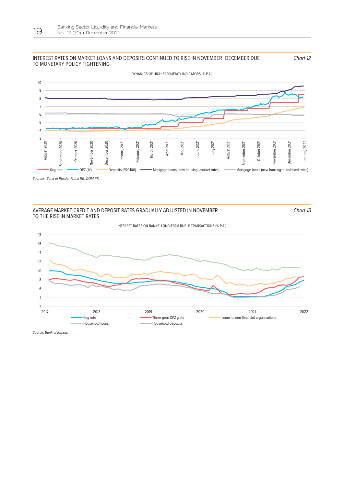#### INTEREST RATES ON MARKET LOANS AND DEPOSITS CONTINUED TO RISE IN NOVEMBER–DECEMBER DUE TO MONETARY POLICY TIGHTENING

10 9 8 7 6 5 4 3 August 2020 October 2020 November 2020 December 2020 April 2021 January 2022 September 2020 February 2021 March 2021 2021 August 2020 September 2020 October 2020 November 2020 December 2020 January 2021 January 2021 February 2021 March 2021 May 2021 June 2021 July 2021 August 202 August 2021 September 2021 September 2021 October 2021 October 2021 Vovember 2021 November 2021 December 2021 December 2021 January 2022 june: Key rate **CHU CHU DEPOSITS (FRG100)** Mortgage loans (new housing: market rates) CHU Mortgage loans (new housing: subsidised rates)

Sources: Bank of Russia, Frank RG, DOM.RF.

#### AVERAGE MARKET CREDIT AND DEPOSIT RATES GRADUALLY ADJUSTED IN NOVEMBER TO THE RISE IN MARKET RATES

Chart 13

Chart 12



*Source: Bank of Russia.*

DYNAMICS OF HIGH-FREQUENCY INDICATORS (% P.A.)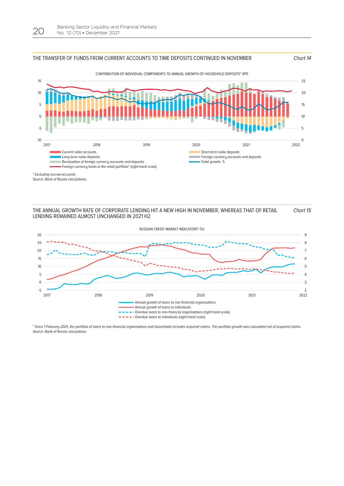#### THE TRANSFER OF FUNDS FROM CURRENT ACCOUNTS TO TIME DEPOSITS CONTINUED IN NOVEMBER Chart 14



*\* Excluding escrow accounts.*

*Source: Bank of Russia calculations.*

#### THE ANNUAL GROWTH RATE OF CORPORATE LENDING HIT A NEW HIGH IN NOVEMBER, WHEREAS THAT OF RETAIL LENDING REMAINED ALMOST UNCHANGED IN 2021 H2 Chart 15



\* Since 1 February 2021, the portfolio of loans to non-financial organisations and households includes acquired claims. The portfolio growth was calculated net of acquired claims. *Source: Bank of Russia calculations.*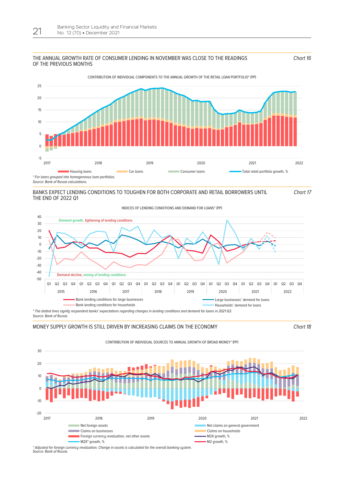#### THE ANNUAL GROWTH RATE OF CONSUMER LENDING IN NOVEMBER WAS CLOSE TO THE READINGS OF THE PREVIOUS MONTHS



CONTRIBUTION OF INDIVIDUAL COMPONENTS TO THE ANNUAL GROWTH OF THE RETAIL LOAN PORTFOLIO\* (PP)

BANKS EXPECT LENDING CONDITIONS TO TOUGHEN FOR BOTH CORPORATE AND RETAIL BORROWERS UNTIL THE END OF 2022 Q1

Chart 17

Chart 16



MONEY SUPPLY GROWTH IS STILL DRIVEN BY INCREASING CLAIMS ON THE ECONOMY Chart 18



*\* Adjusted for foreign currency revaluation. Change in assets is calculated for the overall banking system. Source: Bank of Russia.*

CONTRIBUTION OF INDIVIDUAL SOURCES TO ANNUAL GROWTH OF BROAD MONEY\* (PP)